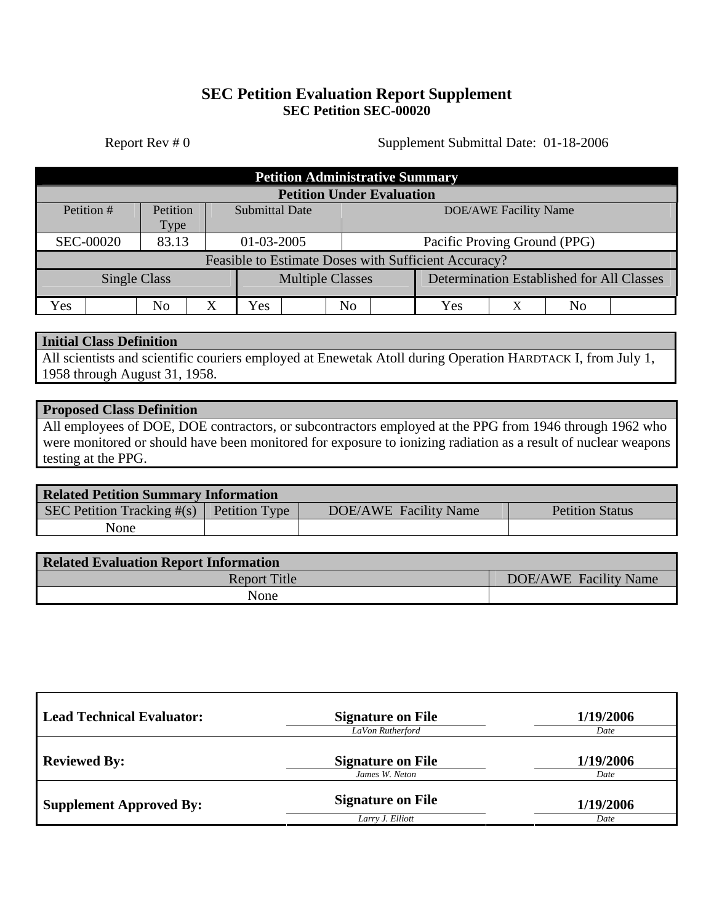## **SEC Petition Evaluation Report Supplement SEC Petition SEC-00020**

Report Rev # 0 Supplement Submittal Date: 01-18-2006

| <b>Petition Administrative Summary</b>               |          |                       |                         |                              |                                           |   |    |  |
|------------------------------------------------------|----------|-----------------------|-------------------------|------------------------------|-------------------------------------------|---|----|--|
| <b>Petition Under Evaluation</b>                     |          |                       |                         |                              |                                           |   |    |  |
| Petition #                                           | Petition | <b>Submittal Date</b> |                         | <b>DOE/AWE Facility Name</b> |                                           |   |    |  |
|                                                      | Type     |                       |                         |                              |                                           |   |    |  |
| <b>SEC-00020</b>                                     | 83.13    | 01-03-2005            |                         | Pacific Proving Ground (PPG) |                                           |   |    |  |
| Feasible to Estimate Doses with Sufficient Accuracy? |          |                       |                         |                              |                                           |   |    |  |
| <b>Single Class</b>                                  |          |                       | <b>Multiple Classes</b> |                              | Determination Established for All Classes |   |    |  |
| Yes                                                  | No       | X<br>Yes              | N <sub>o</sub>          |                              | Yes                                       | Χ | No |  |

## **Initial Class Definition**

All scientists and scientific couriers employed at Enewetak Atoll during Operation HARDTACK I, from July 1, 1958 through August 31, 1958.

#### **Proposed Class Definition**

All employees of DOE, DOE contractors, or subcontractors employed at the PPG from 1946 through 1962 who were monitored or should have been monitored for exposure to ionizing radiation as a result of nuclear weapons testing at the PPG.

| <b>Related Petition Summary Information</b> |                      |                       |                        |  |  |  |
|---------------------------------------------|----------------------|-----------------------|------------------------|--|--|--|
| SEC Petition Tracking $\#(s)$               | <b>Petition Type</b> | DOE/AWE Facility Name | <b>Petition Status</b> |  |  |  |
| None                                        |                      |                       |                        |  |  |  |

| <b>Related Evaluation Report Information</b> |                       |  |  |  |
|----------------------------------------------|-----------------------|--|--|--|
| <b>Report Title</b>                          | DOE/AWE Facility Name |  |  |  |
| None                                         |                       |  |  |  |

| <b>Lead Technical Evaluator:</b> | <b>Signature on File</b><br>LaVon Rutherford | 1/19/2006<br>Date |  |
|----------------------------------|----------------------------------------------|-------------------|--|
| <b>Reviewed By:</b>              | <b>Signature on File</b><br>James W. Neton   | 1/19/2006<br>Date |  |
| <b>Supplement Approved By:</b>   | <b>Signature on File</b><br>Larry J. Elliott | 1/19/2006<br>Date |  |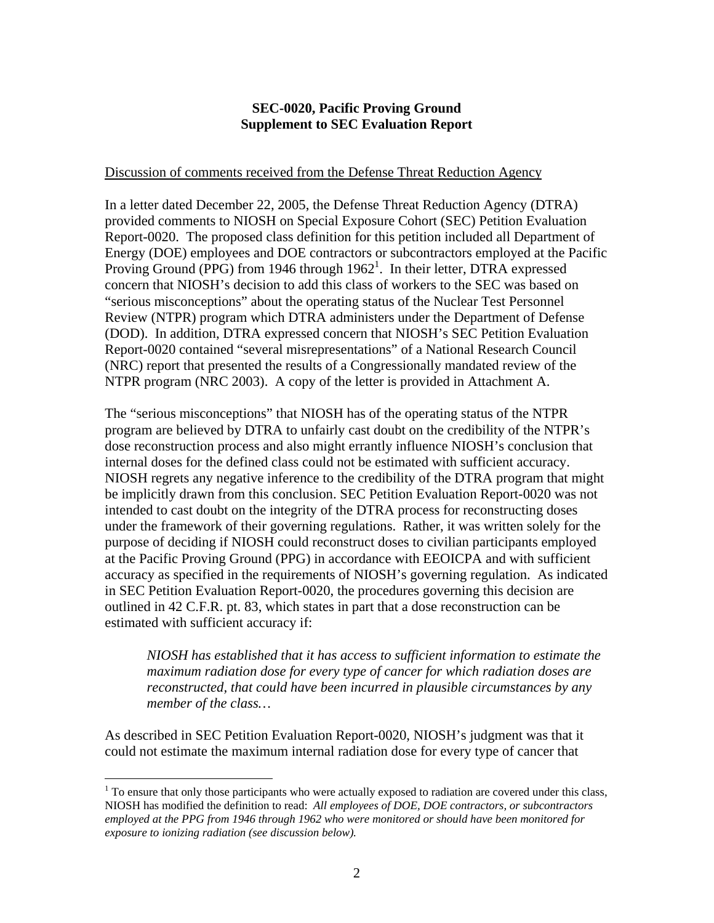## **SEC-0020, Pacific Proving Ground Supplement to SEC Evaluation Report**

#### Discussion of comments received from the Defense Threat Reduction Agency

In a letter dated December 22, 2005, the Defense Threat Reduction Agency (DTRA) provided comments to NIOSH on Special Exposure Cohort (SEC) Petition Evaluation Report-0020. The proposed class definition for this petition included all Department of Energy (DOE) employees and DOE contractors or subcontractors employed at the Pacific Proving Ground (PPG) from [1](#page-1-0)946 through  $1962<sup>1</sup>$ . In their letter, DTRA expressed concern that NIOSH's decision to add this class of workers to the SEC was based on "serious misconceptions" about the operating status of the Nuclear Test Personnel Review (NTPR) program which DTRA administers under the Department of Defense (DOD). In addition, DTRA expressed concern that NIOSH's SEC Petition Evaluation Report-0020 contained "several misrepresentations" of a National Research Council (NRC) report that presented the results of a Congressionally mandated review of the NTPR program (NRC 2003). A copy of the letter is provided in Attachment A.

The "serious misconceptions" that NIOSH has of the operating status of the NTPR program are believed by DTRA to unfairly cast doubt on the credibility of the NTPR's dose reconstruction process and also might errantly influence NIOSH's conclusion that internal doses for the defined class could not be estimated with sufficient accuracy. NIOSH regrets any negative inference to the credibility of the DTRA program that might be implicitly drawn from this conclusion. SEC Petition Evaluation Report-0020 was not intended to cast doubt on the integrity of the DTRA process for reconstructing doses under the framework of their governing regulations. Rather, it was written solely for the purpose of deciding if NIOSH could reconstruct doses to civilian participants employed at the Pacific Proving Ground (PPG) in accordance with EEOICPA and with sufficient accuracy as specified in the requirements of NIOSH's governing regulation. As indicated in SEC Petition Evaluation Report-0020, the procedures governing this decision are outlined in 42 C.F.R. pt. 83, which states in part that a dose reconstruction can be estimated with sufficient accuracy if:

*NIOSH has established that it has access to sufficient information to estimate the maximum radiation dose for every type of cancer for which radiation doses are reconstructed, that could have been incurred in plausible circumstances by any member of the class…* 

As described in SEC Petition Evaluation Report-0020, NIOSH's judgment was that it could not estimate the maximum internal radiation dose for every type of cancer that

<u>.</u>

<span id="page-1-0"></span> $1$  To ensure that only those participants who were actually exposed to radiation are covered under this class, NIOSH has modified the definition to read: *All employees of DOE, DOE contractors, or subcontractors employed at the PPG from 1946 through 1962 who were monitored or should have been monitored for exposure to ionizing radiation (see discussion below).*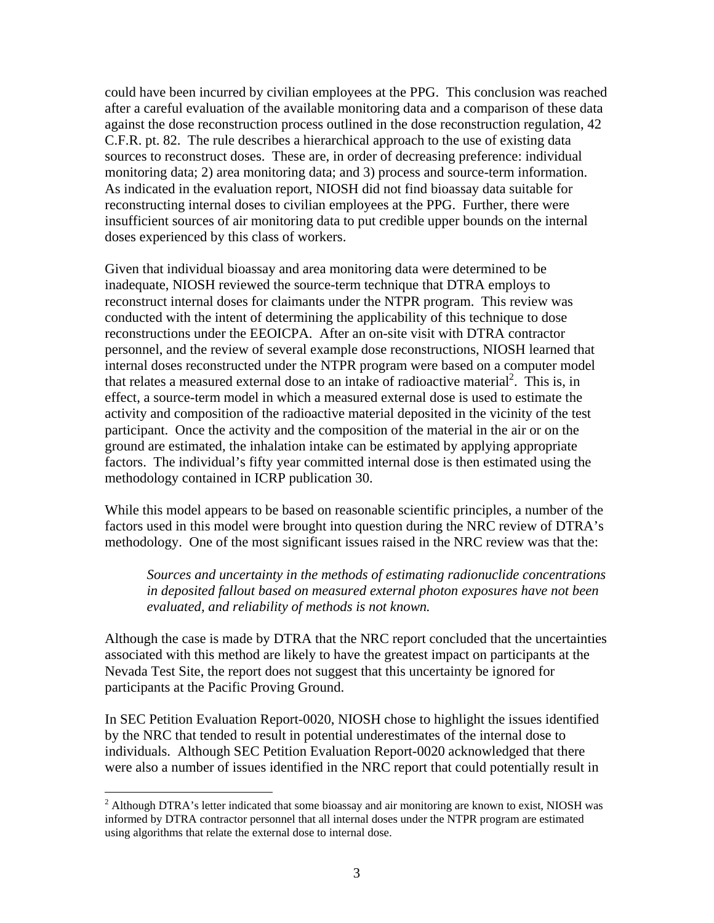could have been incurred by civilian employees at the PPG. This conclusion was reached after a careful evaluation of the available monitoring data and a comparison of these data against the dose reconstruction process outlined in the dose reconstruction regulation, 42 C.F.R. pt. 82. The rule describes a hierarchical approach to the use of existing data sources to reconstruct doses. These are, in order of decreasing preference: individual monitoring data; 2) area monitoring data; and 3) process and source-term information. As indicated in the evaluation report, NIOSH did not find bioassay data suitable for reconstructing internal doses to civilian employees at the PPG. Further, there were insufficient sources of air monitoring data to put credible upper bounds on the internal doses experienced by this class of workers.

Given that individual bioassay and area monitoring data were determined to be inadequate, NIOSH reviewed the source-term technique that DTRA employs to reconstruct internal doses for claimants under the NTPR program. This review was conducted with the intent of determining the applicability of this technique to dose reconstructions under the EEOICPA. After an on-site visit with DTRA contractor personnel, and the review of several example dose reconstructions, NIOSH learned that internal doses reconstructed under the NTPR program were based on a computer model that relates a measured external dose to an intake of radioactive material<sup>[2](#page-2-0)</sup>. This is, in effect, a source-term model in which a measured external dose is used to estimate the activity and composition of the radioactive material deposited in the vicinity of the test participant. Once the activity and the composition of the material in the air or on the ground are estimated, the inhalation intake can be estimated by applying appropriate factors. The individual's fifty year committed internal dose is then estimated using the methodology contained in ICRP publication 30.

While this model appears to be based on reasonable scientific principles, a number of the factors used in this model were brought into question during the NRC review of DTRA's methodology. One of the most significant issues raised in the NRC review was that the:

*Sources and uncertainty in the methods of estimating radionuclide concentrations in deposited fallout based on measured external photon exposures have not been evaluated, and reliability of methods is not known.* 

Although the case is made by DTRA that the NRC report concluded that the uncertainties associated with this method are likely to have the greatest impact on participants at the Nevada Test Site, the report does not suggest that this uncertainty be ignored for participants at the Pacific Proving Ground.

In SEC Petition Evaluation Report-0020, NIOSH chose to highlight the issues identified by the NRC that tended to result in potential underestimates of the internal dose to individuals. Although SEC Petition Evaluation Report-0020 acknowledged that there were also a number of issues identified in the NRC report that could potentially result in

1

<span id="page-2-0"></span> $2$  Although DTRA's letter indicated that some bioassay and air monitoring are known to exist, NIOSH was informed by DTRA contractor personnel that all internal doses under the NTPR program are estimated using algorithms that relate the external dose to internal dose.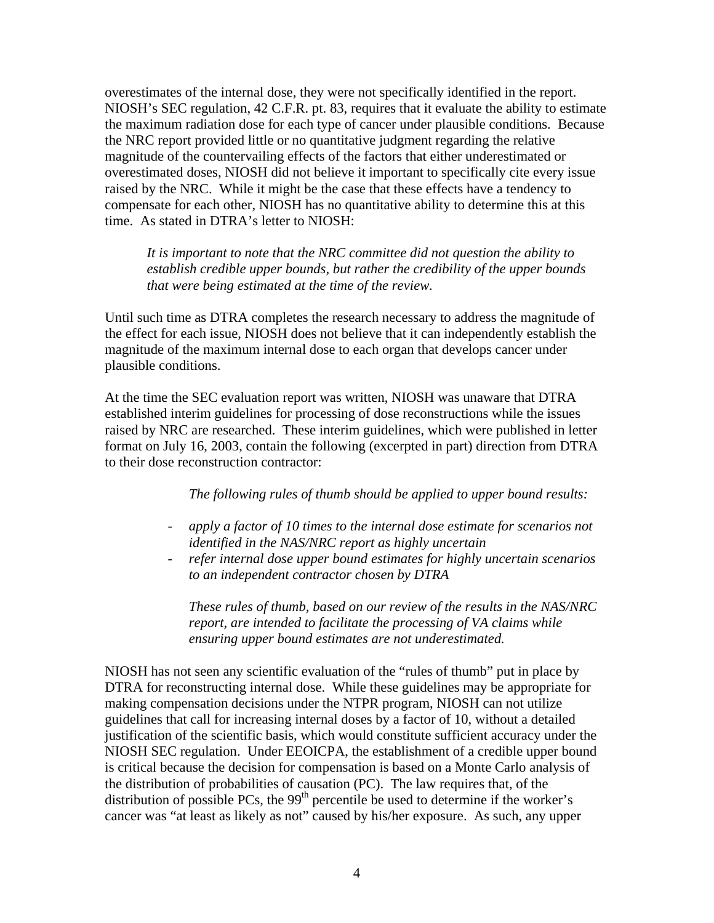overestimates of the internal dose, they were not specifically identified in the report. NIOSH's SEC regulation, 42 C.F.R. pt. 83, requires that it evaluate the ability to estimate the maximum radiation dose for each type of cancer under plausible conditions. Because the NRC report provided little or no quantitative judgment regarding the relative magnitude of the countervailing effects of the factors that either underestimated or overestimated doses, NIOSH did not believe it important to specifically cite every issue raised by the NRC. While it might be the case that these effects have a tendency to compensate for each other, NIOSH has no quantitative ability to determine this at this time. As stated in DTRA's letter to NIOSH:

*It is important to note that the NRC committee did not question the ability to establish credible upper bounds, but rather the credibility of the upper bounds that were being estimated at the time of the review.* 

Until such time as DTRA completes the research necessary to address the magnitude of the effect for each issue, NIOSH does not believe that it can independently establish the magnitude of the maximum internal dose to each organ that develops cancer under plausible conditions.

At the time the SEC evaluation report was written, NIOSH was unaware that DTRA established interim guidelines for processing of dose reconstructions while the issues raised by NRC are researched. These interim guidelines, which were published in letter format on July 16, 2003, contain the following (excerpted in part) direction from DTRA to their dose reconstruction contractor:

*The following rules of thumb should be applied to upper bound results:* 

- *apply a factor of 10 times to the internal dose estimate for scenarios not identified in the NAS/NRC report as highly uncertain*
- *refer internal dose upper bound estimates for highly uncertain scenarios to an independent contractor chosen by DTRA*

*These rules of thumb, based on our review of the results in the NAS/NRC report, are intended to facilitate the processing of VA claims while ensuring upper bound estimates are not underestimated.* 

NIOSH has not seen any scientific evaluation of the "rules of thumb" put in place by DTRA for reconstructing internal dose. While these guidelines may be appropriate for making compensation decisions under the NTPR program, NIOSH can not utilize guidelines that call for increasing internal doses by a factor of 10, without a detailed justification of the scientific basis, which would constitute sufficient accuracy under the NIOSH SEC regulation. Under EEOICPA, the establishment of a credible upper bound is critical because the decision for compensation is based on a Monte Carlo analysis of the distribution of probabilities of causation (PC). The law requires that, of the distribution of possible PCs, the  $99<sup>th</sup>$  percentile be used to determine if the worker's cancer was "at least as likely as not" caused by his/her exposure. As such, any upper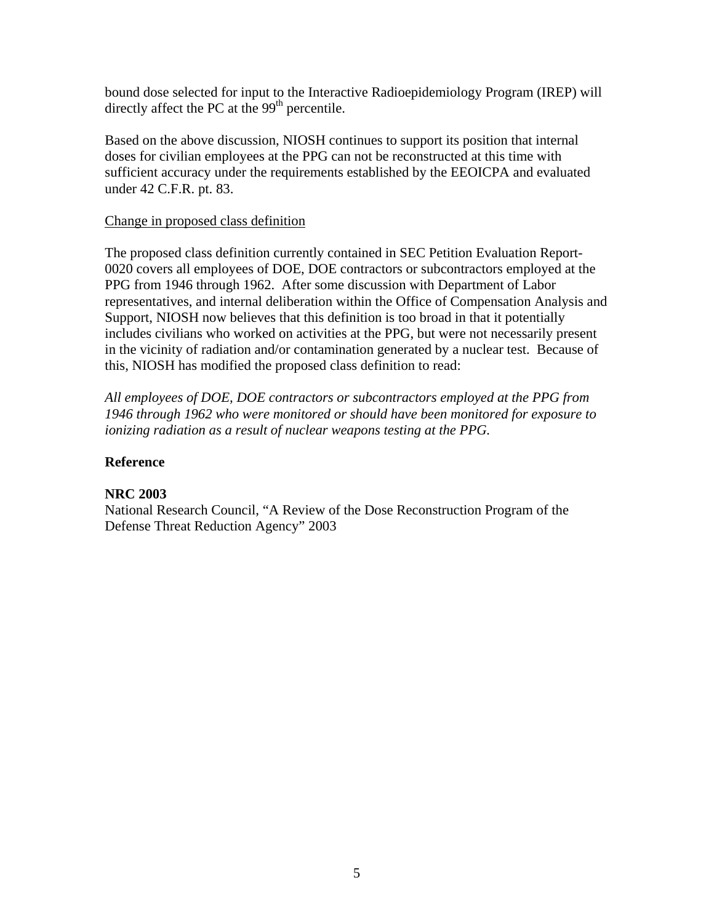bound dose selected for input to the Interactive Radioepidemiology Program (IREP) will directly affect the PC at the  $99<sup>th</sup>$  percentile.

Based on the above discussion, NIOSH continues to support its position that internal doses for civilian employees at the PPG can not be reconstructed at this time with sufficient accuracy under the requirements established by the EEOICPA and evaluated under 42 C.F.R. pt. 83.

## Change in proposed class definition

The proposed class definition currently contained in SEC Petition Evaluation Report-0020 covers all employees of DOE, DOE contractors or subcontractors employed at the PPG from 1946 through 1962. After some discussion with Department of Labor representatives, and internal deliberation within the Office of Compensation Analysis and Support, NIOSH now believes that this definition is too broad in that it potentially includes civilians who worked on activities at the PPG, but were not necessarily present in the vicinity of radiation and/or contamination generated by a nuclear test. Because of this, NIOSH has modified the proposed class definition to read:

*All employees of DOE, DOE contractors or subcontractors employed at the PPG from 1946 through 1962 who were monitored or should have been monitored for exposure to ionizing radiation as a result of nuclear weapons testing at the PPG.* 

## **Reference**

## **NRC 2003**

National Research Council, "A Review of the Dose Reconstruction Program of the Defense Threat Reduction Agency" 2003